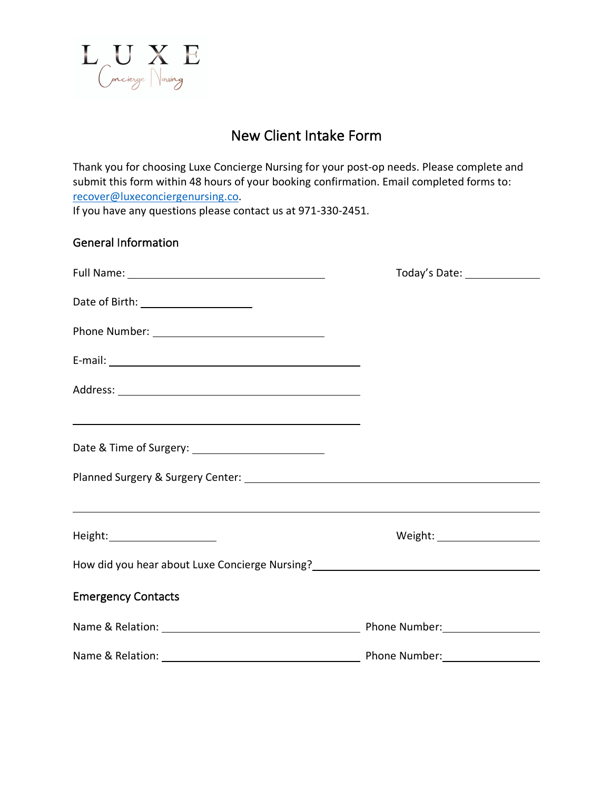

## New Client Intake Form

Thank you for choosing Luxe Concierge Nursing for your post-op needs. Please complete and submit this form within 48 hours of your booking confirmation. Email completed forms to: recover@luxeconciergenursing.co. If you have any questions please contact us at 971-330-2451.

## General Information

|                                                                                                                                                                                                                                        | Today's Date: ________________ |  |
|----------------------------------------------------------------------------------------------------------------------------------------------------------------------------------------------------------------------------------------|--------------------------------|--|
| Date of Birth: ______________________                                                                                                                                                                                                  |                                |  |
|                                                                                                                                                                                                                                        |                                |  |
|                                                                                                                                                                                                                                        |                                |  |
|                                                                                                                                                                                                                                        |                                |  |
|                                                                                                                                                                                                                                        |                                |  |
|                                                                                                                                                                                                                                        |                                |  |
| <u> 1989 - Johann Stoff, deutscher Stoffen und der Stoffen und der Stoffen und der Stoffen und der Stoffen und de</u>                                                                                                                  |                                |  |
| How did you hear about Luxe Concierge Nursing?<br><u>Land and an announ control and you hear also needs that we had a set of the set of the set of the set of the set of the set of the set of the set of the set of the set of th</u> |                                |  |
| <b>Emergency Contacts</b>                                                                                                                                                                                                              |                                |  |
|                                                                                                                                                                                                                                        |                                |  |
|                                                                                                                                                                                                                                        |                                |  |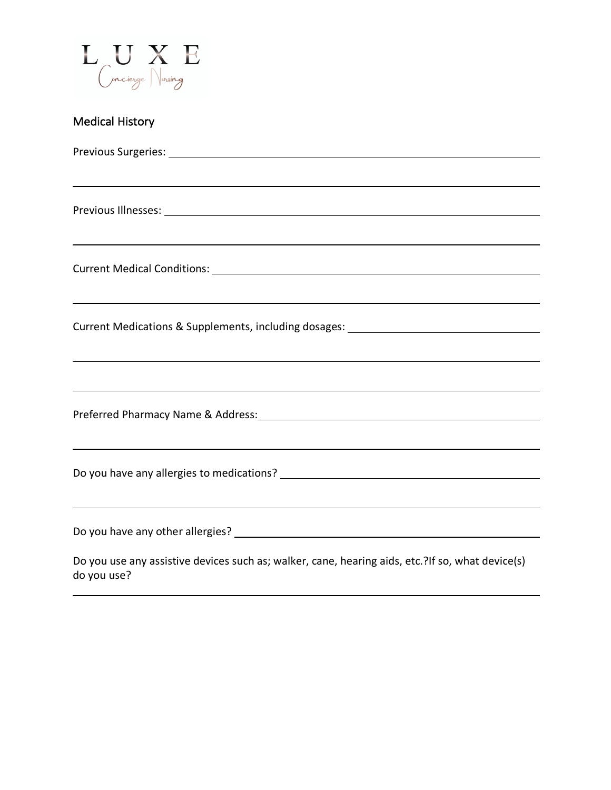

## Medical History

| ,我们也不会有什么。""我们的人,我们也不会有什么?""我们的人,我们也不会有什么?""我们的人,我们也不会有什么?""我们的人,我们也不会有什么?""我们的人                                                                                     |  |
|----------------------------------------------------------------------------------------------------------------------------------------------------------------------|--|
|                                                                                                                                                                      |  |
| ,我们也不会有什么。""我们的人,我们也不会有什么?""我们的人,我们也不会有什么?""我们的人,我们也不会有什么?""我们的人,我们也不会有什么?""我们的人                                                                                     |  |
|                                                                                                                                                                      |  |
| Current Medications & Supplements, including dosages: __________________________<br>,我们也不会有什么。""我们的人,我们也不会有什么?""我们的人,我们也不会有什么?""我们的人,我们也不会有什么?""我们的人,我们也不会有什么?""我们的人 |  |
| ,我们也不会有什么。""我们的人,我们也不会有什么?""我们的人,我们也不会有什么?""我们的人,我们也不会有什么?""我们的人,我们也不会有什么?""我们的人                                                                                     |  |
|                                                                                                                                                                      |  |
| ,我们也不会有什么。""我们的人,我们也不会有什么?""我们的人,我们也不会有什么?""我们的人,我们也不会有什么?""我们的人,我们也不会有什么?""我们的人                                                                                     |  |
| <u> 1989 - Johann Stoff, fransk politik (f. 1989)</u>                                                                                                                |  |
|                                                                                                                                                                      |  |
| Do you use any assistive devices such as; walker, cane, hearing aids, etc.?If so, what device(s)<br>do you use?                                                      |  |